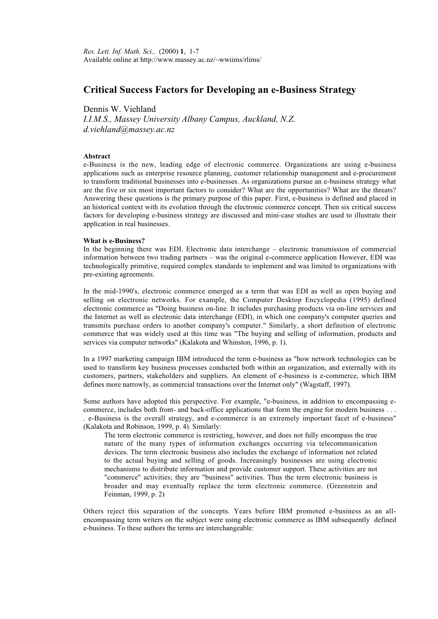# **Critical Success Factors for Developing an e-Business Strategy**

# Dennis W. Viehland

*I.I.M.S., Massey University Albany Campus, Auckland, N.Z. d.viehland@massey.ac.nz*

# **Abstract**

e-Business is the new, leading edge of electronic commerce. Organizations are using e-business applications such as enterprise resource planning, customer relationship management and e-procurement to transform traditional businesses into e-businesses. As organizations pursue an e-business strategy what are the five or six most important factors to consider? What are the opportunities? What are the threats? Answering these questions is the primary purpose of this paper. First, e-business is defined and placed in an historical context with its evolution through the electronic commerce concept. Then six critical success factors for developing e-business strategy are discussed and mini-case studies are used to illustrate their application in real businesses.

# **What is e-Business?**

In the beginning there was EDI. Electronic data interchange – electronic transmission of commercial information between two trading partners – was the original e-commerce application However, EDI was technologically primitive, required complex standards to implement and was limited to organizations with pre-existing agreements.

In the mid-1990's, electronic commerce emerged as a term that was EDI as well as open buying and selling on electronic networks. For example, the Computer Desktop Encyclopedia (1995) defined electronic commerce as "Doing business on-line. It includes purchasing products via on-line services and the Internet as well as electronic data interchange (EDI), in which one company's computer queries and transmits purchase orders to another company's computer." Similarly, a short definition of electronic commerce that was widely used at this time was "The buying and selling of information, products and services via computer networks" (Kalakota and Whinston, 1996, p. 1).

In a 1997 marketing campaign IBM introduced the term e-business as "how network technologies can be used to transform key business processes conducted both within an organization, and externally with its customers, partners, stakeholders and suppliers. An element of e-business is e-commerce, which IBM defines more narrowly, as commercial transactions over the Internet only" (Wagstaff, 1997).

Some authors have adopted this perspective. For example, "e-business, in addition to encompassing ecommerce, includes both front- and back-office applications that form the engine for modern business . . . . e-Business is the overall strategy, and e-commerce is an extremely important facet of e-business" (Kalakota and Robinson, 1999, p. 4). Similarly:

The term electronic commerce is restricting, however, and does not fully encompass the true nature of the many types of information exchanges occurring via telecommunication devices. The term electronic business also includes the exchange of information not related to the actual buying and selling of goods. Increasingly businesses are using electronic mechanisms to distribute information and provide customer support. These activities are not "commerce" activities; they are "business" activities. Thus the term electronic business is broader and may eventually replace the term electronic commerce. (Greenstein and Feinman, 1999, p. 2)

Others reject this separation of the concepts. Years before IBM promoted e-business as an allencompassing term writers on the subject were using electronic commerce as IBM subsequently defined e-business. To these authors the terms are interchangeable: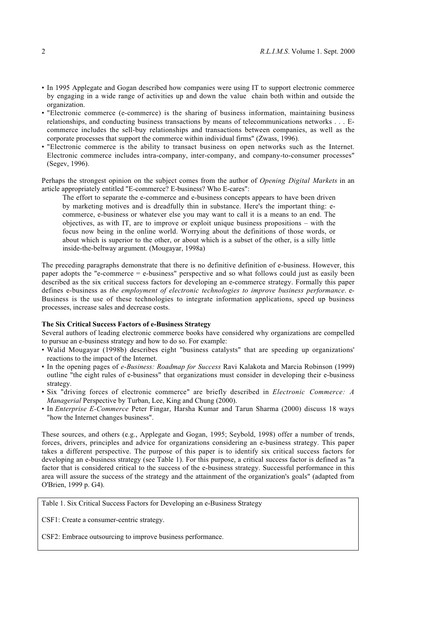- In 1995 Applegate and Gogan described how companies were using IT to support electronic commerce by engaging in a wide range of activities up and down the value chain both within and outside the organization.
- "Electronic commerce (e-commerce) is the sharing of business information, maintaining business relationships, and conducting business transactions by means of telecommunications networks . . . Ecommerce includes the sell-buy relationships and transactions between companies, as well as the corporate processes that support the commerce within individual firms" (Zwass, 1996).
- "Electronic commerce is the ability to transact business on open networks such as the Internet. Electronic commerce includes intra-company, inter-company, and company-to-consumer processes" (Segev, 1996).

Perhaps the strongest opinion on the subject comes from the author of *Opening Digital Markets* in an article appropriately entitled "E-commerce? E-business? Who E-cares":

The effort to separate the e-commerce and e-business concepts appears to have been driven by marketing motives and is dreadfully thin in substance. Here's the important thing: ecommerce, e-business or whatever else you may want to call it is a means to an end. The objectives, as with IT, are to improve or exploit unique business propositions – with the focus now being in the online world. Worrying about the definitions of those words, or about which is superior to the other, or about which is a subset of the other, is a silly little inside-the-beltway argument. (Mougayar, 1998a)

The preceding paragraphs demonstrate that there is no definitive definition of e-business. However, this paper adopts the "e-commerce = e-business" perspective and so what follows could just as easily been described as the six critical success factors for developing an e-commerce strategy. Formally this paper defines e-business as *the employment of electronic technologies to improve business performance*. e-Business is the use of these technologies to integrate information applications, speed up business processes, increase sales and decrease costs.

#### **The Six Critical Success Factors of e-Business Strategy**

Several authors of leading electronic commerce books have considered why organizations are compelled to pursue an e-business strategy and how to do so. For example:

- Walid Mougayar (1998b) describes eight "business catalysts" that are speeding up organizations' reactions to the impact of the Internet.
- In the opening pages of *e-Business: Roadmap for Success* Ravi Kalakota and Marcia Robinson (1999) outline "the eight rules of e-business" that organizations must consider in developing their e-business strategy.
- Six "driving forces of electronic commerce" are briefly described in *Electronic Commerce: A Managerial* Perspective by Turban, Lee, King and Chung (2000).
- In *Enterprise E-Commerce* Peter Fingar, Harsha Kumar and Tarun Sharma (2000) discuss 18 ways "how the Internet changes business".

These sources, and others (e.g., Applegate and Gogan, 1995; Seybold, 1998) offer a number of trends, forces, drivers, principles and advice for organizations considering an e-business strategy. This paper takes a different perspective. The purpose of this paper is to identify six critical success factors for developing an e-business strategy (see Table 1). For this purpose, a critical success factor is defined as "a factor that is considered critical to the success of the e-business strategy. Successful performance in this area will assure the success of the strategy and the attainment of the organization's goals" (adapted from O'Brien, 1999 p. G4).

Table 1. Six Critical Success Factors for Developing an e-Business Strategy

CSF1: Create a consumer-centric strategy.

CSF2: Embrace outsourcing to improve business performance.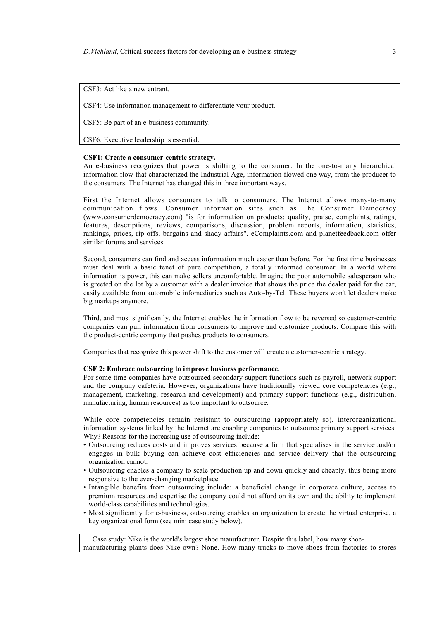CSF3: Act like a new entrant.

CSF4: Use information management to differentiate your product.

CSF5: Be part of an e-business community.

CSF6: Executive leadership is essential.

#### **CSF1: Create a consumer-centric strategy.**

An e-business recognizes that power is shifting to the consumer. In the one-to-many hierarchical information flow that characterized the Industrial Age, information flowed one way, from the producer to the consumers. The Internet has changed this in three important ways.

First the Internet allows consumers to talk to consumers. The Internet allows many-to-many communication flows. Consumer information sites such as The Consumer Democracy (www.consumerdemocracy.com) "is for information on products: quality, praise, complaints, ratings, features, descriptions, reviews, comparisons, discussion, problem reports, information, statistics, rankings, prices, rip-offs, bargains and shady affairs". eComplaints.com and planetfeedback.com offer similar forums and services.

Second, consumers can find and access information much easier than before. For the first time businesses must deal with a basic tenet of pure competition, a totally informed consumer. In a world where information is power, this can make sellers uncomfortable. Imagine the poor automobile salesperson who is greeted on the lot by a customer with a dealer invoice that shows the price the dealer paid for the car, easily available from automobile infomediaries such as Auto-by-Tel. These buyers won't let dealers make big markups anymore.

Third, and most significantly, the Internet enables the information flow to be reversed so customer-centric companies can pull information from consumers to improve and customize products. Compare this with the product-centric company that pushes products to consumers.

Companies that recognize this power shift to the customer will create a customer-centric strategy.

#### **CSF 2: Embrace outsourcing to improve business performance.**

For some time companies have outsourced secondary support functions such as payroll, network support and the company cafeteria. However, organizations have traditionally viewed core competencies (e.g., management, marketing, research and development) and primary support functions (e.g., distribution, manufacturing, human resources) as too important to outsource.

While core competencies remain resistant to outsourcing (appropriately so), interorganizational information systems linked by the Internet are enabling companies to outsource primary support services. Why? Reasons for the increasing use of outsourcing include:

- Outsourcing reduces costs and improves services because a firm that specialises in the service and/or engages in bulk buying can achieve cost efficiencies and service delivery that the outsourcing organization cannot.
- Outsourcing enables a company to scale production up and down quickly and cheaply, thus being more responsive to the ever-changing marketplace.
- Intangible benefits from outsourcing include: a beneficial change in corporate culture, access to premium resources and expertise the company could not afford on its own and the ability to implement world-class capabilities and technologies.
- Most significantly for e-business, outsourcing enables an organization to create the virtual enterprise, a key organizational form (see mini case study below).

 Case study: Nike is the world's largest shoe manufacturer. Despite this label, how many shoemanufacturing plants does Nike own? None. How many trucks to move shoes from factories to stores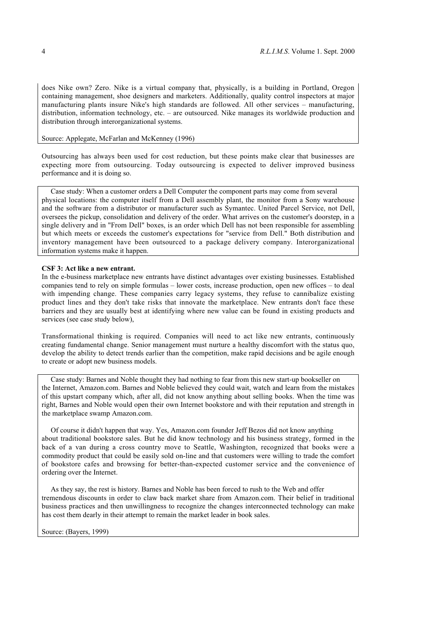does Nike own? Zero. Nike is a virtual company that, physically, is a building in Portland, Oregon containing management, shoe designers and marketers. Additionally, quality control inspectors at major manufacturing plants insure Nike's high standards are followed. All other services – manufacturing, distribution, information technology, etc. – are outsourced. Nike manages its worldwide production and distribution through interorganizational systems.

## Source: Applegate, McFarlan and McKenney (1996)

Outsourcing has always been used for cost reduction, but these points make clear that businesses are expecting more from outsourcing. Today outsourcing is expected to deliver improved business performance and it is doing so.

 Case study: When a customer orders a Dell Computer the component parts may come from several physical locations: the computer itself from a Dell assembly plant, the monitor from a Sony warehouse and the software from a distributor or manufacturer such as Symantec. United Parcel Service, not Dell, oversees the pickup, consolidation and delivery of the order. What arrives on the customer's doorstep, in a single delivery and in "From Dell" boxes, is an order which Dell has not been responsible for assembling but which meets or exceeds the customer's expectations for "service from Dell." Both distribution and inventory management have been outsourced to a package delivery company. Interorganizational information systems make it happen.

# **CSF 3: Act like a new entrant.**

In the e-business marketplace new entrants have distinct advantages over existing businesses. Established companies tend to rely on simple formulas – lower costs, increase production, open new offices – to deal with impending change. These companies carry legacy systems, they refuse to cannibalize existing product lines and they don't take risks that innovate the marketplace. New entrants don't face these barriers and they are usually best at identifying where new value can be found in existing products and services (see case study below),

Transformational thinking is required. Companies will need to act like new entrants, continuously creating fundamental change. Senior management must nurture a healthy discomfort with the status quo, develop the ability to detect trends earlier than the competition, make rapid decisions and be agile enough to create or adopt new business models.

 Case study: Barnes and Noble thought they had nothing to fear from this new start-up bookseller on the Internet, Amazon.com. Barnes and Noble believed they could wait, watch and learn from the mistakes of this upstart company which, after all, did not know anything about selling books. When the time was right, Barnes and Noble would open their own Internet bookstore and with their reputation and strength in the marketplace swamp Amazon.com.

 Of course it didn't happen that way. Yes, Amazon.com founder Jeff Bezos did not know anything about traditional bookstore sales. But he did know technology and his business strategy, formed in the back of a van during a cross country move to Seattle, Washington, recognized that books were a commodity product that could be easily sold on-line and that customers were willing to trade the comfort of bookstore cafes and browsing for better-than-expected customer service and the convenience of ordering over the Internet.

 As they say, the rest is history. Barnes and Noble has been forced to rush to the Web and offer tremendous discounts in order to claw back market share from Amazon.com. Their belief in traditional business practices and then unwillingness to recognize the changes interconnected technology can make has cost them dearly in their attempt to remain the market leader in book sales.

Source: (Bayers, 1999)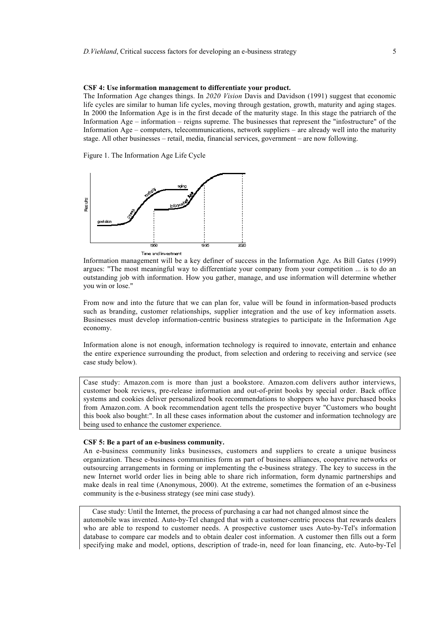#### **CSF 4: Use information management to differentiate your product.**

The Information Age changes things. In *2020 Vision* Davis and Davidson (1991) suggest that economic life cycles are similar to human life cycles, moving through gestation, growth, maturity and aging stages. In 2000 the Information Age is in the first decade of the maturity stage. In this stage the patriarch of the Information Age – information – reigns supreme. The businesses that represent the "infostructure" of the Information Age – computers, telecommunications, network suppliers – are already well into the maturity stage. All other businesses – retail, media, financial services, government – are now following.

Figure 1. The Information Age Life Cycle



Information management will be a key definer of success in the Information Age. As Bill Gates (1999) argues: "The most meaningful way to differentiate your company from your competition ... is to do an outstanding job with information. How you gather, manage, and use information will determine whether you win or lose."

From now and into the future that we can plan for, value will be found in information-based products such as branding, customer relationships, supplier integration and the use of key information assets. Businesses must develop information-centric business strategies to participate in the Information Age economy.

Information alone is not enough, information technology is required to innovate, entertain and enhance the entire experience surrounding the product, from selection and ordering to receiving and service (see case study below).

Case study: Amazon.com is more than just a bookstore. Amazon.com delivers author interviews, customer book reviews, pre-release information and out-of-print books by special order. Back office systems and cookies deliver personalized book recommendations to shoppers who have purchased books from Amazon.com. A book recommendation agent tells the prospective buyer "Customers who bought this book also bought:". In all these cases information about the customer and information technology are being used to enhance the customer experience.

## **CSF 5: Be a part of an e-business community.**

An e-business community links businesses, customers and suppliers to create a unique business organization. These e-business communities form as part of business alliances, cooperative networks or outsourcing arrangements in forming or implementing the e-business strategy. The key to success in the new Internet world order lies in being able to share rich information, form dynamic partnerships and make deals in real time (Anonymous, 2000). At the extreme, sometimes the formation of an e-business community is the e-business strategy (see mini case study).

 Case study: Until the Internet, the process of purchasing a car had not changed almost since the automobile was invented. Auto-by-Tel changed that with a customer-centric process that rewards dealers who are able to respond to customer needs. A prospective customer uses Auto-by-Tel's information database to compare car models and to obtain dealer cost information. A customer then fills out a form specifying make and model, options, description of trade-in, need for loan financing, etc. Auto-by-Tel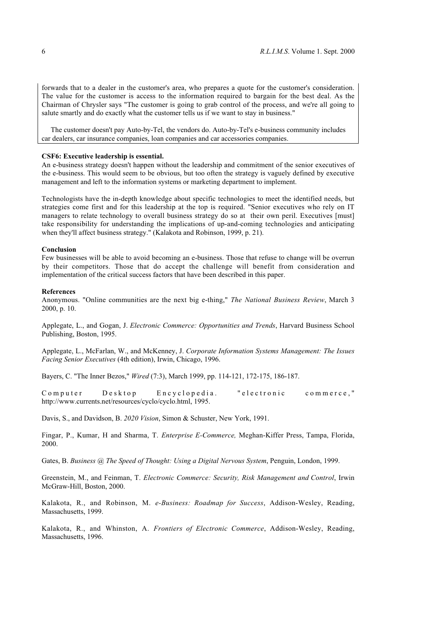forwards that to a dealer in the customer's area, who prepares a quote for the customer's consideration. The value for the customer is access to the information required to bargain for the best deal. As the Chairman of Chrysler says "The customer is going to grab control of the process, and we're all going to salute smartly and do exactly what the customer tells us if we want to stay in business."

 The customer doesn't pay Auto-by-Tel, the vendors do. Auto-by-Tel's e-business community includes car dealers, car insurance companies, loan companies and car accessories companies.

# **CSF6: Executive leadership is essential.**

An e-business strategy doesn't happen without the leadership and commitment of the senior executives of the e-business. This would seem to be obvious, but too often the strategy is vaguely defined by executive management and left to the information systems or marketing department to implement.

Technologists have the in-depth knowledge about specific technologies to meet the identified needs, but strategies come first and for this leadership at the top is required. "Senior executives who rely on IT managers to relate technology to overall business strategy do so at their own peril. Executives [must] take responsibility for understanding the implications of up-and-coming technologies and anticipating when they'll affect business strategy." (Kalakota and Robinson, 1999, p. 21).

#### **Conclusion**

Few businesses will be able to avoid becoming an e-business. Those that refuse to change will be overrun by their competitors. Those that do accept the challenge will benefit from consideration and implementation of the critical success factors that have been described in this paper.

#### **References**

Anonymous. "Online communities are the next big e-thing," *The National Business Review*, March 3 2000, p. 10.

Applegate, L., and Gogan, J. *Electronic Commerce: Opportunities and Trends*, Harvard Business School Publishing, Boston, 1995.

Applegate, L., McFarlan, W., and McKenney, J. *Corporate Information Systems Management: The Issues Facing Senior Executives* (4th edition), Irwin, Chicago, 1996.

Bayers, C. "The Inner Bezos," *Wired* (7:3), March 1999, pp. 114-121, 172-175, 186-187.

Computer Desktop Encyclopedia. "electronic commerce," http://www.currents.net/resources/cyclo/cyclo.html, 1995.

Davis, S., and Davidson, B. *2020 Vision*, Simon & Schuster, New York, 1991.

Fingar, P., Kumar, H and Sharma, T. *Enterprise E-Commerce,* Meghan-Kiffer Press, Tampa, Florida, 2000.

Gates, B. *Business @ The Speed of Thought: Using a Digital Nervous System*, Penguin, London, 1999.

Greenstein, M., and Feinman, T. *Electronic Commerce: Security, Risk Management and Control*, Irwin McGraw-Hill, Boston, 2000.

Kalakota, R., and Robinson, M. *e-Business: Roadmap for Success*, Addison-Wesley, Reading, Massachusetts, 1999.

Kalakota, R., and Whinston, A. *Frontiers of Electronic Commerce*, Addison-Wesley, Reading, Massachusetts, 1996.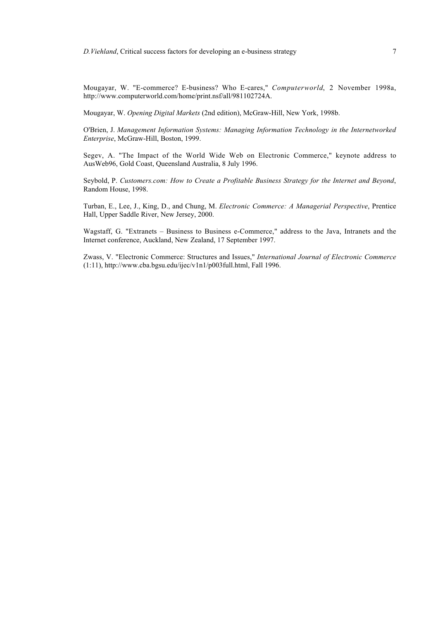Mougayar, W. "E-commerce? E-business? Who E-cares," *Computerworld*, 2 November 1998a, http://www.computerworld.com/home/print.nsf/all/981102724A.

Mougayar, W. *Opening Digital Markets* (2nd edition), McGraw-Hill, New York, 1998b.

O'Brien, J. *Management Information Systems: Managing Information Technology in the Internetworked Enterprise*, McGraw-Hill, Boston, 1999.

Segev, A. "The Impact of the World Wide Web on Electronic Commerce," keynote address to AusWeb96, Gold Coast, Queensland Australia, 8 July 1996.

Seybold, P. *Customers.com: How to Create a Profitable Business Strategy for the Internet and Beyond*, Random House, 1998.

Turban, E., Lee, J., King, D., and Chung, M. *Electronic Commerce: A Managerial Perspective*, Prentice Hall, Upper Saddle River, New Jersey, 2000.

Wagstaff, G. "Extranets – Business to Business e-Commerce," address to the Java, Intranets and the Internet conference, Auckland, New Zealand, 17 September 1997.

Zwass, V. "Electronic Commerce: Structures and Issues," *International Journal of Electronic Commerce* (1:11), http://www.cba.bgsu.edu/ijec/v1n1/p003full.html, Fall 1996.